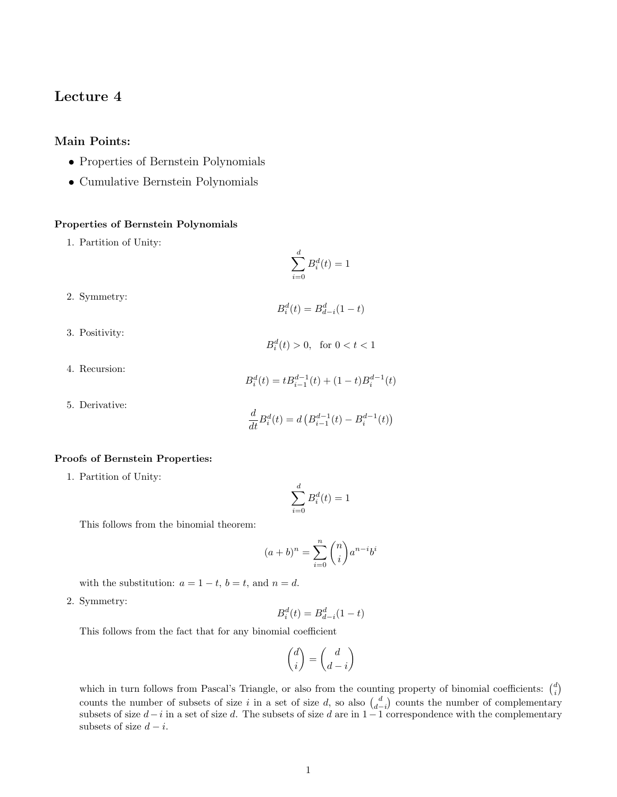# Lecture 4

# Main Points:

- Properties of Bernstein Polynomials
- Cumulative Bernstein Polynomials

### Properties of Bernstein Polynomials

1. Partition of Unity:

$$
\sum_{i=0}^{d} B_i^d(t) = 1
$$

- 2. Symmetry:
- 3. Positivity:

 $B_i^d(t) > 0$ , for  $0 < t < 1$ 

 $B_i^d(t) = B_{d-i}^d(1-t)$ 

4. Recursion:

$$
B_i^d(t) = t B_{i-1}^{d-1}(t) + (1-t)B_i^{d-1}(t)
$$

5. Derivative:

$$
\frac{d}{dt}B_i^d(t) = d\left(B_{i-1}^{d-1}(t) - B_i^{d-1}(t)\right)
$$

#### Proofs of Bernstein Properties:

1. Partition of Unity:

$$
\sum_{i=0}^{d} B_i^d(t) = 1
$$

This follows from the binomial theorem:

$$
(a+b)^n = \sum_{i=0}^n \binom{n}{i} a^{n-i} b^i
$$

with the substitution:  $a = 1 - t$ ,  $b = t$ , and  $n = d$ .

2. Symmetry:

$$
B_i^d(t) = B_{d-i}^d(1-t)
$$

This follows from the fact that for any binomial coefficient

$$
\binom{d}{i} = \binom{d}{d-i}
$$

which in turn follows from Pascal's Triangle, or also from the counting property of binomial coefficients:  $\binom{d}{i}$ counts the number of subsets of size i in a set of size  $d$ , so also  $\binom{d}{d-i}$  counts the number of complementary subsets of size  $d-i$  in a set of size d. The subsets of size d are in 1−1 correspondence with the complementary subsets of size  $d - i$ .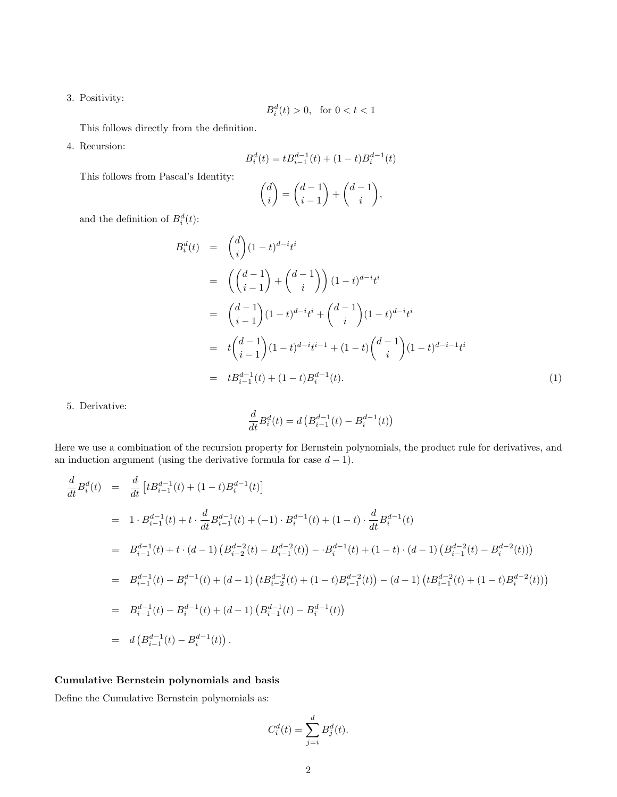3. Positivity:

$$
B_i^d(t) > 0, \quad \text{for } 0 < t < 1
$$

This follows directly from the definition.

4. Recursion:

$$
B_i^d(t) = tB_{i-1}^{d-1}(t) + (1-t)B_i^{d-1}(t)
$$

This follows from Pascal's Identity:

$$
\binom{d}{i} = \binom{d-1}{i-1} + \binom{d-1}{i},
$$

and the definition of  $B_i^d(t)$ :

$$
B_i^d(t) = {d \choose i} (1-t)^{d-i} t^i
$$
  
\n
$$
= \left({d-1 \choose i-1} + {d-1 \choose i} \right) (1-t)^{d-i} t^i
$$
  
\n
$$
= {d-1 \choose i-1} (1-t)^{d-i} t^i + {d-1 \choose i} (1-t)^{d-i} t^i
$$
  
\n
$$
= t {d-1 \choose i-1} (1-t)^{d-i} t^{i-1} + (1-t) {d-1 \choose i} (1-t)^{d-i-1} t^i
$$
  
\n
$$
= t B_{i-1}^{d-1}(t) + (1-t) B_i^{d-1}(t).
$$
 (1)

5. Derivative:

$$
\frac{d}{dt}B_i^d(t) = d\left(B_{i-1}^{d-1}(t) - B_i^{d-1}(t)\right)
$$

Here we use a combination of the recursion property for Bernstein polynomials, the product rule for derivatives, and an induction argument (using the derivative formula for case  $d-1$ ).

$$
\frac{d}{dt}B_i^d(t) = \frac{d}{dt}[tB_{i-1}^{d-1}(t) + (1-t)B_i^{d-1}(t)]
$$
\n
$$
= 1 \cdot B_{i-1}^{d-1}(t) + t \cdot \frac{d}{dt}B_{i-1}^{d-1}(t) + (-1) \cdot B_i^{d-1}(t) + (1-t) \cdot \frac{d}{dt}B_i^{d-1}(t)
$$
\n
$$
= B_{i-1}^{d-1}(t) + t \cdot (d-1) \left( B_{i-2}^{d-2}(t) - B_{i-1}^{d-2}(t) \right) - \cdot B_i^{d-1}(t) + (1-t) \cdot (d-1) \left( B_{i-1}^{d-2}(t) - B_i^{d-2}(t) \right)
$$
\n
$$
= B_{i-1}^{d-1}(t) - B_i^{d-1}(t) + (d-1) \left( tB_{i-2}^{d-2}(t) + (1-t)B_{i-1}^{d-2}(t) \right) - (d-1) \left( tB_{i-1}^{d-2}(t) + (1-t)B_i^{d-2}(t) \right)
$$
\n
$$
= B_{i-1}^{d-1}(t) - B_i^{d-1}(t) + (d-1) \left( B_{i-1}^{d-1}(t) - B_i^{d-1}(t) \right)
$$
\n
$$
= d \left( B_{i-1}^{d-1}(t) - B_i^{d-1}(t) \right).
$$

# Cumulative Bernstein polynomials and basis

Define the Cumulative Bernstein polynomials as:

$$
C_i^d(t) = \sum_{j=i}^d B_j^d(t).
$$